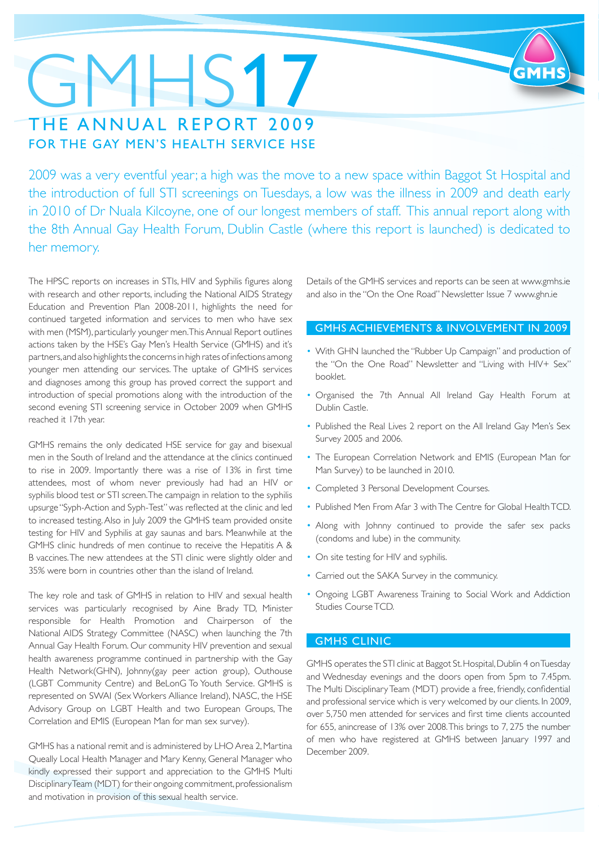### GMHS17 THE ANNUAL REPORT 2009 FOR THE GAY MEN'S HEALTH SERVICE HSE

2009 was a very eventful year; a high was the move to a new space within Baggot St Hospital and the introduction of full STI screenings on Tuesdays, a low was the illness in 2009 and death early in 2010 of Dr Nuala Kilcoyne, one of our longest members of staff. This annual report along with the 8th Annual Gay Health Forum, Dublin Castle (where this report is launched) is dedicated to her memory.

The HPSC reports on increases in STIs, HIV and Syphilis figures along with research and other reports, including the National AIDS Strategy Education and Prevention Plan 2008-2011, highlights the need for continued targeted information and services to men who have sex with men (MSM), particularly younger men. This Annual Report outlines actions taken by the HSE's Gay Men's Health Service (GMHS) and it's partners, and also highlights the concerns in high rates of infections among younger men attending our services. The uptake of GMHS services and diagnoses among this group has proved correct the support and introduction of special promotions along with the introduction of the second evening STI screening service in October 2009 when GMHS reached it 17th year.

GMHS remains the only dedicated HSE service for gay and bisexual men in the South of Ireland and the attendance at the clinics continued to rise in 2009. Importantly there was a rise of 13% in first time attendees, most of whom never previously had had an HIV or syphilis blood test or STI screen. The campaign in relation to the syphilis upsurge "Syph-Action and Syph-Test" was reflected at the clinic and led to increased testing. Also in July 2009 the GMHS team provided onsite testing for HIV and Syphilis at gay saunas and bars. Meanwhile at the GMHS clinic hundreds of men continue to receive the Hepatitis A & B vaccines. The new attendees at the STI clinic were slightly older and 35% were born in countries other than the island of Ireland.

The key role and task of GMHS in relation to HIV and sexual health services was particularly recognised by Aine Brady TD, Minister responsible for Health Promotion and Chairperson of the National AIDS Strategy Committee (NASC) when launching the 7th Annual Gay Health Forum. Our community HIV prevention and sexual health awareness programme continued in partnership with the Gay Health Network(GHN), Johnny(gay peer action group), Outhouse (LGBT Community Centre) and BeLonG To Youth Service. GMHS is represented on SWAI (Sex Workers Alliance Ireland), NASC, the HSE Advisory Group on LGBT Health and two European Groups, The Correlation and EMIS (European Man for man sex survey).

GMHS has a national remit and is administered by LHO Area 2, Martina Queally Local Health Manager and Mary Kenny, General Manager who kindly expressed their support and appreciation to the GMHS Multi Disciplinary Team (MDT) for their ongoing commitment, professionalism and motivation in provision of this sexual health service.

Details of the GMHS services and reports can be seen at www.gmhs.ie and also in the "On the One Road" Newsletter Issue 7 www.ghn.ie

### GMHS ACHIEVEMENTS & INVOLVEMENT IN 2009

- With GHN launched the "Rubber Up Campaign" and production of the "On the One Road" Newsletter and "Living with HIV+ Sex" booklet.
- Organised the 7th Annual All Ireland Gay Health Forum at Dublin Castle.
- Published the Real Lives 2 report on the All Ireland Gay Men's Sex Survey 2005 and 2006.
- The European Correlation Network and EMIS (European Man for Man Survey) to be launched in 2010.
- Completed 3 Personal Development Courses.
- Published Men From Afar 3 with The Centre for Global Health TCD.
- Along with Johnny continued to provide the safer sex packs (condoms and lube) in the community.
- On site testing for HIV and syphilis.
- Carried out the SAKA Survey in the communicy.
- Ongoing LGBT Awareness Training to Social Work and Addiction Studies Course TCD.

### GMHS CLINIC

GMHS operates the STI clinic at Baggot St. Hospital, Dublin 4 on Tuesday and Wednesday evenings and the doors open from 5pm to 7.45pm. The Multi Disciplinary Team (MDT) provide a free, friendly, confidential and professional service which is very welcomed by our clients. In 2009, over 5,750 men attended for services and first time clients accounted for 655, anincrease of 13% over 2008. This brings to 7, 275 the number of men who have registered at GMHS between January 1997 and December 2009.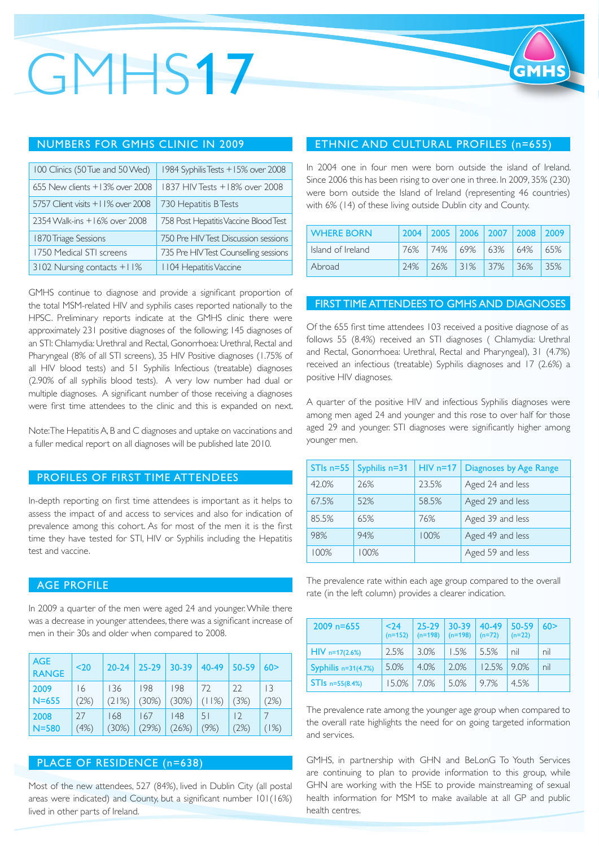## GMHS17

### NUMBERS FOR GMHS CLINIC IN 2009

| 100 Clinics (50 Tue and 50 Wed)   | 1984 Syphilis Tests +15% over 2008    |
|-----------------------------------|---------------------------------------|
| 655 New clients +13% over 2008    | 1837 HIV Tests +18% over 2008         |
| 5757 Client visits +11% over 2008 | 730 Hepatitis B Tests                 |
| 2354 Walk-ins +16% over 2008      | 758 Post Hepatitis Vaccine Blood Test |
| 1870 Triage Sessions              | 750 Pre HIV Test Discussion sessions  |
| 1750 Medical STI screens          | 735 Pre HIV Test Counselling sessions |
| 3102 Nursing contacts +11%        | I 104 Hepatitis Vaccine               |

GMHS continue to diagnose and provide a significant proportion of the total MSM-related HIV and syphilis cases reported nationally to the HPSC. Preliminary reports indicate at the GMHS clinic there were approximately 231 positive diagnoses of the following; 145 diagnoses of an STI: Chlamydia: Urethral and Rectal, Gonorrhoea: Urethral, Rectal and Pharyngeal (8% of all STI screens), 35 HIV Positive diagnoses (1.75% of all HIV blood tests) and 51 Syphilis Infectious (treatable) diagnoses (2.90% of all syphilis blood tests). A very low number had dual or multiple diagnoses. A significant number of those receiving a diagnoses were first time attendees to the clinic and this is expanded on next.

Note: The Hepatitis A, B and C diagnoses and uptake on vaccinations and a fuller medical report on all diagnoses will be published late 2010.

### PROFILES OF FIRST TIME ATTENDEES

In-depth reporting on first time attendees is important as it helps to assess the impact of and access to services and also for indication of prevalence among this cohort. As for most of the men it is the first time they have tested for STI, HIV or Syphilis including the Hepatitis test and vaccine.

### AGE PROFILE

In 2009 a quarter of the men were aged 24 and younger. While there was a decrease in younger attendees, there was a significant increase of men in their 30s and older when compared to 2008.

| <b>AGE</b><br><b>RANGE</b> | $20$ | $20 - 24$ | $25 - 29$ | $30 - 39$ | 40-49 | 50-59 | 60>    |
|----------------------------|------|-----------|-----------|-----------|-------|-------|--------|
| 2009                       | 16   | 136       | 198       | 198       | 72    | 22    | 3      |
| $N = 655$                  | (2%) | (21%)     | (30%)     | (30%)     | (11%) | (3%)  | (2%)   |
| 2008                       | 27   | 168       | 167       | 148       | 51    | 12    | $1\%)$ |
| $N = 580$                  | (4%) | $(30\%)$  | (29%)     | (26%)     | (9%)  | (2%)  |        |

### PLACE OF RESIDENCE (n=638)

Most of the new attendees, 527 (84%), lived in Dublin City (all postal areas were indicated) and County, but a significant number 101(16%) lived in other parts of Ireland.

### ETHNIC AND CULTURAL PROFILES (n=655)

In 2004 one in four men were born outside the island of Ireland. Since 2006 this has been rising to over one in three. In 2009, 35% (230) were born outside the Island of Ireland (representing 46 countries) with 6% (14) of these living outside Dublin city and County.

| <b>WHERE BORN</b> | 2004 | 2005 2006 2007 2008 2009 |              |      |       |     |
|-------------------|------|--------------------------|--------------|------|-------|-----|
| Island of Ireland | 76%  | 74%                      | $ 69\% 63\%$ |      | 64%   | 65% |
| Abroad            | 24%  | 26%                      | 31%          | 137% | l 36% | 35% |

### FIRST TIME ATTENDEES TO GMHS AND DIAGNOSES

Of the 655 first time attendees 103 received a positive diagnose of as follows 55 (8.4%) received an STI diagnoses ( Chlamydia: Urethral and Rectal, Gonorrhoea: Urethral, Rectal and Pharyngeal), 31 (4.7%) received an infectious (treatable) Syphilis diagnoses and 17 (2.6%) a positive HIV diagnoses.

A quarter of the positive HIV and infectious Syphilis diagnoses were among men aged 24 and younger and this rose to over half for those aged 29 and younger. STI diagnoses were significantly higher among younger men.

| $STls$ n=55 | Syphilis n=31 | $HIV$ n=17 | Diagnoses by Age Range |
|-------------|---------------|------------|------------------------|
| 42.0%       | 26%           | 23.5%      | Aged 24 and less       |
| 67.5%       | 52%           | 58.5%      | Aged 29 and less       |
| 85.5%       | 65%           | 76%        | Aged 39 and less       |
| 98%         | 94%           | 100%       | Aged 49 and less       |
| 100%        | 100%          |            | Aged 59 and less       |

The prevalence rate within each age group compared to the overall rate (in the left column) provides a clearer indication.

| $2009$ n=655          | $24$<br>$(n=152)$ | $25 - 29$<br>$(n=198)$ | $30 - 39$<br>$(n=198)$ | 40-49<br>$(n=72)$ | 50-59<br>$(n=22)$ | 60 > |
|-----------------------|-------------------|------------------------|------------------------|-------------------|-------------------|------|
| $HIV$ n=17(2.6%)      | 2.5%              | 3.0%                   | 1.5%                   | 5.5%              | nil               | nil  |
| Syphilis $n=31(4.7%)$ | 5.0%              | $4.0\%$                | 2.0%                   | 12.5%             | 19.0%             | nil  |
| $STls n=55(8.4%)$     | 15.0%             | 70%                    | 5.0%                   | 9.7%              | 45%               |      |

The prevalence rate among the younger age group when compared to the overall rate highlights the need for on going targeted information and services.

GMHS, in partnership with GHN and BeLonG To Youth Services are continuing to plan to provide information to this group, while GHN are working with the HSE to provide mainstreaming of sexual health information for MSM to make available at all GP and public health centres.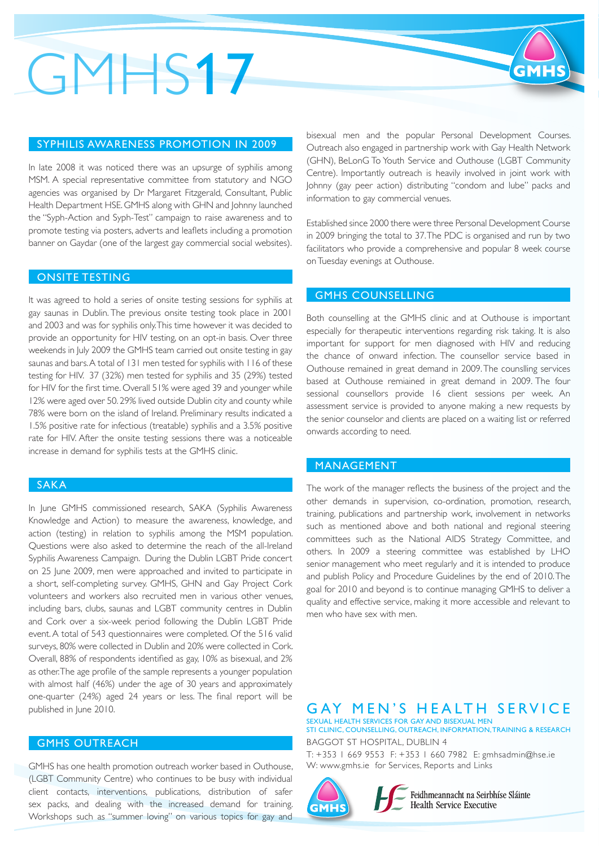## GMHS17

#### SYPHILIS AWARENESS PROMOTION IN 2009

In late 2008 it was noticed there was an upsurge of syphilis among MSM. A special representative committee from statutory and NGO agencies was organised by Dr Margaret Fitzgerald, Consultant, Public Health Department HSE. GMHS along with GHN and Johnny launched the "Syph-Action and Syph-Test" campaign to raise awareness and to promote testing via posters, adverts and leaflets including a promotion banner on Gaydar (one of the largest gay commercial social websites).

### ONSITE TESTING

It was agreed to hold a series of onsite testing sessions for syphilis at gay saunas in Dublin. The previous onsite testing took place in 2001 and 2003 and was for syphilis only. This time however it was decided to provide an opportunity for HIV testing, on an opt-in basis. Over three weekends in July 2009 the GMHS team carried out onsite testing in gay saunas and bars. A total of 131 men tested for syphilis with 116 of these testing for HIV. 37 (32%) men tested for syphilis and 35 (29%) tested for HIV for the first time. Overall 51% were aged 39 and younger while 12% were aged over 50. 29% lived outside Dublin city and county while 78% were born on the island of Ireland. Preliminary results indicated a 1.5% positive rate for infectious (treatable) syphilis and a 3.5% positive rate for HIV. After the onsite testing sessions there was a noticeable increase in demand for syphilis tests at the GMHS clinic.

#### SAKA

In June GMHS commissioned research, SAKA (Syphilis Awareness Knowledge and Action) to measure the awareness, knowledge, and action (testing) in relation to syphilis among the MSM population. Questions were also asked to determine the reach of the all-Ireland Syphilis Awareness Campaign. During the Dublin LGBT Pride concert on 25 June 2009, men were approached and invited to participate in a short, self-completing survey. GMHS, GHN and Gay Project Cork volunteers and workers also recruited men in various other venues, including bars, clubs, saunas and LGBT community centres in Dublin and Cork over a six-week period following the Dublin LGBT Pride event. A total of 543 questionnaires were completed. Of the 516 valid surveys, 80% were collected in Dublin and 20% were collected in Cork. Overall, 88% of respondents identified as gay, 10% as bisexual, and 2% as other. The age profile of the sample represents a younger population with almost half (46%) under the age of 30 years and approximately one-quarter (24%) aged 24 years or less. The final report will be published in June 2010.

### GMHS OUTREACH

GMHS has one health promotion outreach worker based in Outhouse, (LGBT Community Centre) who continues to be busy with individual client contacts, interventions, publications, distribution of safer sex packs, and dealing with the increased demand for training. Workshops such as "summer loving" on various topics for gay and

bisexual men and the popular Personal Development Courses. Outreach also engaged in partnership work with Gay Health Network (GHN), BeLonG To Youth Service and Outhouse (LGBT Community Centre). Importantly outreach is heavily involved in joint work with Johnny (gay peer action) distributing "condom and lube" packs and information to gay commercial venues.

Established since 2000 there were three Personal Development Course in 2009 bringing the total to 37. The PDC is organised and run by two facilitators who provide a comprehensive and popular 8 week course on Tuesday evenings at Outhouse.

### GMHS COUNSELLING

Both counselling at the GMHS clinic and at Outhouse is important especially for therapeutic interventions regarding risk taking. It is also important for support for men diagnosed with HIV and reducing the chance of onward infection. The counsellor service based in Outhouse remained in great demand in 2009. The counslling services based at Outhouse remiained in great demand in 2009. The four sessional counsellors provide 16 client sessions per week. An assessment service is provided to anyone making a new requests by the senior counselor and clients are placed on a waiting list or referred onwards according to need.

#### MANAGEMENT

The work of the manager reflects the business of the project and the other demands in supervision, co-ordination, promotion, research, training, publications and partnership work, involvement in networks such as mentioned above and both national and regional steering committees such as the National AIDS Strategy Committee, and others. In 2009 a steering committee was established by LHO senior management who meet regularly and it is intended to produce and publish Policy and Procedure Guidelines by the end of 2010. The goal for 2010 and beyond is to continue managing GMHS to deliver a quality and effective service, making it more accessible and relevant to men who have sex with men.

GAY MEN'S HEALTH SERVICE SEXUAL HEALTH SERVICES FOR GAY AND BISEXUAL MEN

STI CLINIC, COUNSELLING, OUTREACH, INFORMATION, TRAINING & RESEARCH BAGGOT ST HOSPITAL, DUBLIN 4

T: +353 1 669 9553 F: +353 1 660 7982 E: gmhsadmin@hse.ie W: www.gmhs.ie for Services, Reports and Links



Feidhmeannacht na Seirbhíse Sláinte **Health Service Executive**